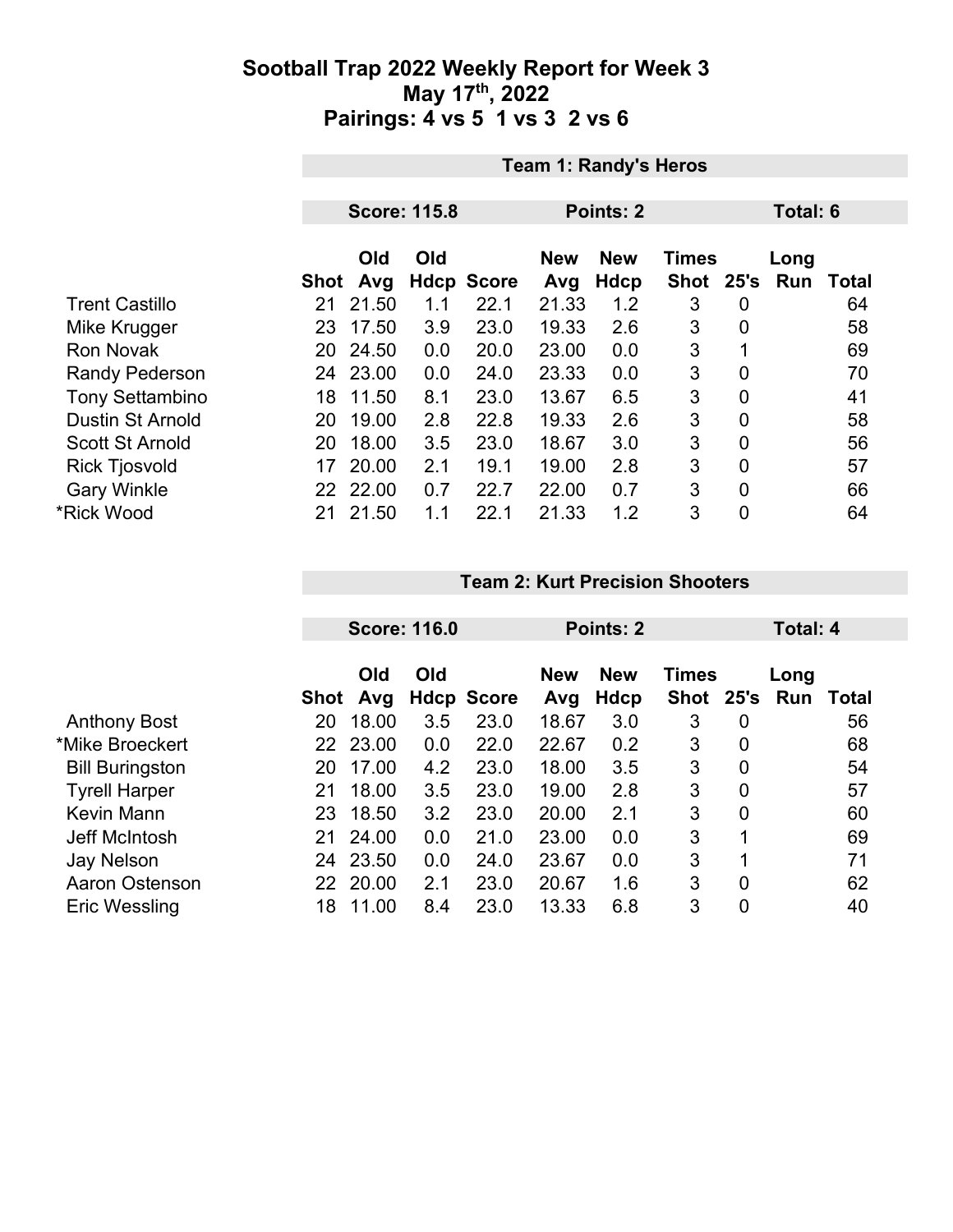## **Sootball Trap 2022 Weekly Report for Week 3 May 17th, 2022 Pairings: 4 vs 5 1 vs 3 2 vs 6**

|                         | <b>Team 1: Randy's Heros</b> |          |     |                   |            |             |              |                |      |              |  |
|-------------------------|------------------------------|----------|-----|-------------------|------------|-------------|--------------|----------------|------|--------------|--|
|                         |                              |          |     | <b>Total: 6</b>   |            |             |              |                |      |              |  |
|                         | <b>Score: 115.8</b>          |          |     |                   | Points: 2  |             |              |                |      |              |  |
|                         |                              | Old      | Old |                   | <b>New</b> | <b>New</b>  | <b>Times</b> |                | Long |              |  |
|                         | <b>Shot</b>                  | Avg      |     | <b>Hdcp Score</b> | Avg        | <b>Hdcp</b> | Shot 25's    |                | Run  | <b>Total</b> |  |
| <b>Trent Castillo</b>   | 21                           | 21.50    | 1.1 | 22.1              | 21.33      | 1.2         | 3            | 0              |      | 64           |  |
| Mike Krugger            | 23                           | 17.50    | 3.9 | 23.0              | 19.33      | 2.6         | 3            | $\overline{0}$ |      | 58           |  |
| <b>Ron Novak</b>        | 20                           | 24.50    | 0.0 | 20.0              | 23.00      | 0.0         | 3            |                |      | 69           |  |
| <b>Randy Pederson</b>   | 24                           | 23.00    | 0.0 | 24.0              | 23.33      | 0.0         | 3            | $\mathbf 0$    |      | 70           |  |
| <b>Tony Settambino</b>  | 18                           | 11.50    | 8.1 | 23.0              | 13.67      | 6.5         | 3            | $\overline{0}$ |      | 41           |  |
| <b>Dustin St Arnold</b> | 20                           | 19.00    | 2.8 | 22.8              | 19.33      | 2.6         | 3            | $\overline{0}$ |      | 58           |  |
| <b>Scott St Arnold</b>  | 20                           | 18.00    | 3.5 | 23.0              | 18.67      | 3.0         | 3            | 0              |      | 56           |  |
| <b>Rick Tjosvold</b>    | 17                           | 20.00    | 2.1 | 19.1              | 19.00      | 2.8         | 3            | $\overline{0}$ |      | 57           |  |
| <b>Gary Winkle</b>      |                              | 22 22.00 | 0.7 | 22.7              | 22.00      | 0.7         | 3            | $\overline{0}$ |      | 66           |  |
| *Rick Wood              | 21                           | 21.50    | 1.1 | 22.1              | 21.33      | 1.2         | 3            | $\mathbf 0$    |      | 64           |  |

#### **Team 2: Kurt Precision Shooters**

|                        | <b>Score: 116.0</b> |            |     | Points: 2         |                   |                    | Total: 4                      |                |      |       |
|------------------------|---------------------|------------|-----|-------------------|-------------------|--------------------|-------------------------------|----------------|------|-------|
|                        | Shot                | Old<br>Avg | Old | <b>Hdcp Score</b> | <b>New</b><br>Avg | <b>New</b><br>Hdcp | <b>Times</b><br>Shot 25's Run |                | Long | Total |
| <b>Anthony Bost</b>    | 20                  | 18.00      | 3.5 | 23.0              | 18.67             | 3.0                | 3                             | 0              |      | 56    |
| *Mike Broeckert        | 22                  | 23.00      | 0.0 | 22.0              | 22.67             | 0.2                | 3                             | $\overline{0}$ |      | 68    |
| <b>Bill Buringston</b> | 20                  | 17.00      | 4.2 | 23.0              | 18.00             | 3.5                | 3                             | 0              |      | 54    |
| <b>Tyrell Harper</b>   | 21                  | 18.00      | 3.5 | 23.0              | 19.00             | 2.8                | 3                             | $\overline{0}$ |      | 57    |
| Kevin Mann             | 23                  | 18.50      | 3.2 | 23.0              | 20.00             | 2.1                | 3                             | $\overline{0}$ |      | 60    |
| Jeff McIntosh          | 21                  | 24.00      | 0.0 | 21.0              | 23.00             | 0.0                | 3                             | 1              |      | 69    |
| <b>Jay Nelson</b>      | 24                  | 23.50      | 0.0 | 24.0              | 23.67             | 0.0                | 3                             | 1              |      | 71    |
| Aaron Ostenson         | 22                  | 20.00      | 2.1 | 23.0              | 20.67             | 1.6                | 3                             | 0              |      | 62    |
| <b>Eric Wessling</b>   | 18                  | 11.00      | 8.4 | 23.0              | 13.33             | 6.8                | 3                             | 0              |      | 40    |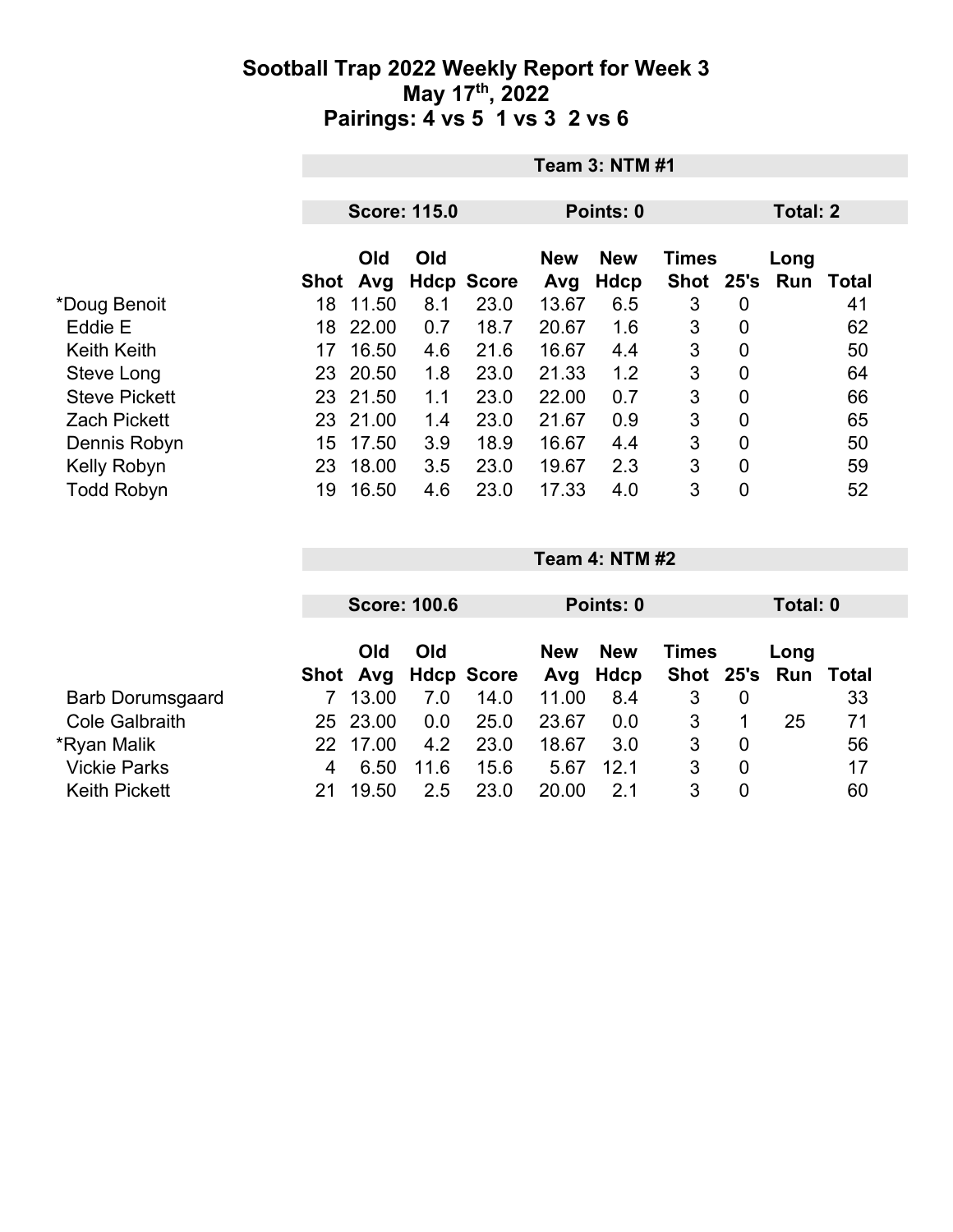## **Sootball Trap 2022 Weekly Report for Week 3 May 17th, 2022 Pairings: 4 vs 5 1 vs 3 2 vs 6**

|                      | <b>Team 3: NTM #1</b> |                        |     |                   |                   |                    |                      |   |                        |    |  |
|----------------------|-----------------------|------------------------|-----|-------------------|-------------------|--------------------|----------------------|---|------------------------|----|--|
|                      | <b>Score: 115.0</b>   |                        |     |                   |                   | Points: 0          |                      |   | <b>Total: 2</b>        |    |  |
|                      |                       | <b>Old</b><br>Shot Avg | Old | <b>Hdcp Score</b> | <b>New</b><br>Avg | <b>New</b><br>Hdcp | <b>Times</b><br>Shot |   | Long<br>25's Run Total |    |  |
| *Doug Benoit         | 18                    | 11.50                  | 8.1 | 23.0              | 13.67             | 6.5                | 3                    | 0 |                        | 41 |  |
| Eddie E              | 18                    | 22.00                  | 0.7 | 18.7              | 20.67             | 1.6                | 3                    | 0 |                        | 62 |  |
| <b>Keith Keith</b>   | 17                    | 16.50                  | 4.6 | 21.6              | 16.67             | 4.4                | 3                    | 0 |                        | 50 |  |
| Steve Long           | 23                    | 20.50                  | 1.8 | 23.0              | 21.33             | 1.2                | 3                    | 0 |                        | 64 |  |
| <b>Steve Pickett</b> |                       | 23 21.50               | 1.1 | 23.0              | 22.00             | 0.7                | 3                    | 0 |                        | 66 |  |
| <b>Zach Pickett</b>  | 23                    | 21.00                  | 1.4 | 23.0              | 21.67             | 0.9                | 3                    | 0 |                        | 65 |  |
| Dennis Robyn         | 15                    | 17.50                  | 3.9 | 18.9              | 16.67             | 4.4                | 3                    | 0 |                        | 50 |  |
| Kelly Robyn          | 23                    | 18.00                  | 3.5 | 23.0              | 19.67             | 2.3                | 3                    | 0 |                        | 59 |  |
| <b>Todd Robyn</b>    | 19                    | 16.50                  | 4.6 | 23.0              | 17.33             | 4.0                | 3                    | 0 |                        | 52 |  |

|                         |     |            | <b>Score: 100.6</b> |                     | Points: 0                         |      |               |                | Total: 0 |       |  |
|-------------------------|-----|------------|---------------------|---------------------|-----------------------------------|------|---------------|----------------|----------|-------|--|
|                         |     | Old<br>Old |                     |                     | <b>New</b><br><b>New</b><br>Times |      |               | Long           |          |       |  |
|                         |     |            |                     | Shot Avg Hdcp Score | Avg                               | Hdcp | Shot 25's Run |                |          | Total |  |
| <b>Barb Dorumsgaard</b> |     | 13.00      | 7.0                 | 14.0                | 11.00                             | 8.4  | 3             | 0              |          | 33    |  |
| <b>Cole Galbraith</b>   |     | 25 23.00   | 0.0                 | 25.0                | 23.67                             | 0.0  | 3             |                | 25       | 71    |  |
| *Ryan Malik             | 22. | 17.00      | 4.2                 | 23.0                | 18.67                             | 3.0  | 3             | $\overline{0}$ |          | 56    |  |
| <b>Vickie Parks</b>     | 4   | 6.50       | 11.6                | 15.6                | 5.67                              | 12.1 | 3             | $\mathbf 0$    |          | 17    |  |
| <b>Keith Pickett</b>    |     | 19.50      | 2.5                 | 23.0                | 20.00                             | 21   | 3             | 0              |          | 60    |  |

**Team 4: NTM #2**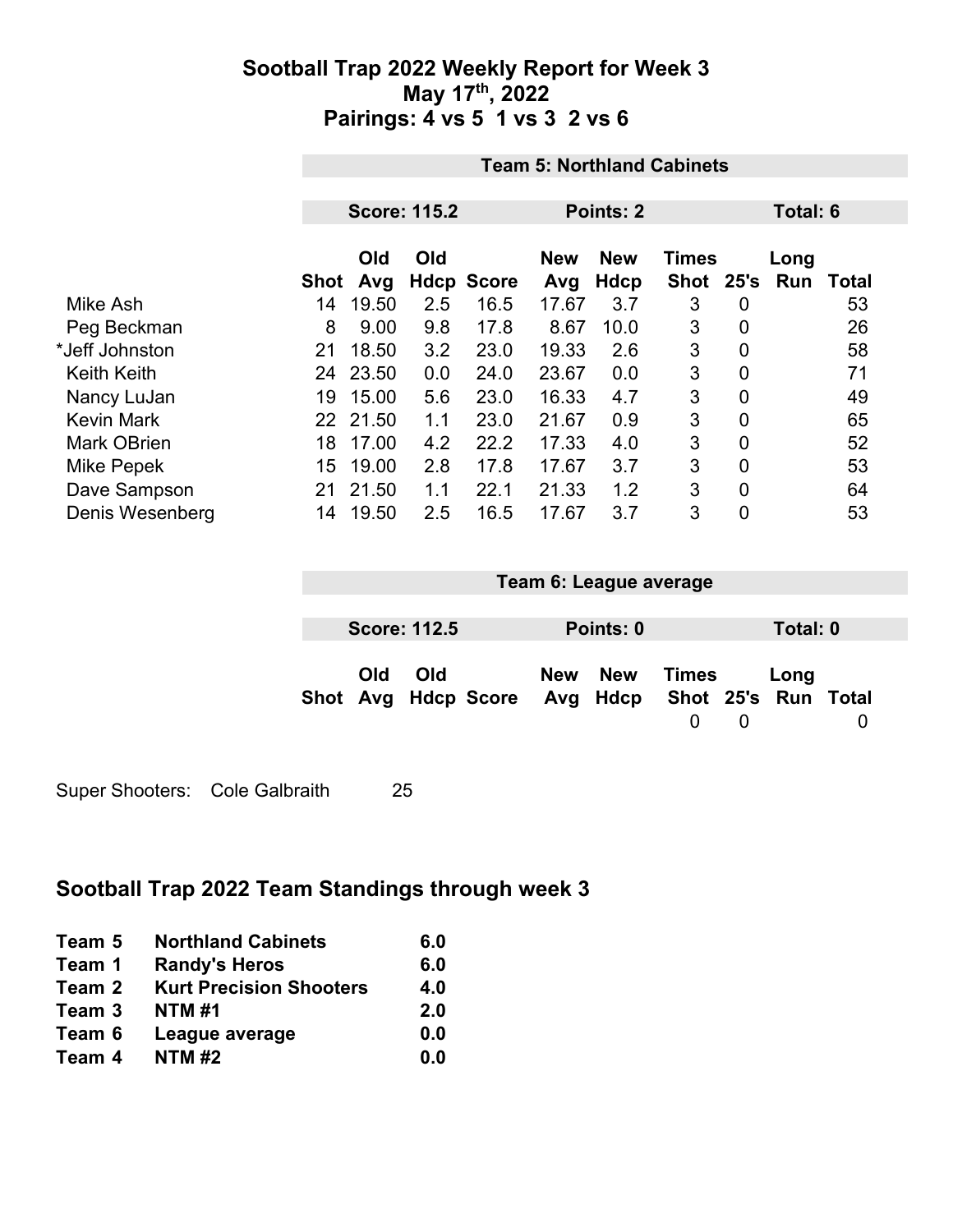## **Sootball Trap 2022 Weekly Report for Week 3 May 17th, 2022 Pairings: 4 vs 5 1 vs 3 2 vs 6**

|                    | <b>Team 5: Northland Cabinets</b> |                                  |     |                           |              |             |                    |             |          |             |  |  |  |
|--------------------|-----------------------------------|----------------------------------|-----|---------------------------|--------------|-------------|--------------------|-------------|----------|-------------|--|--|--|
|                    |                                   | <b>Score: 115.2</b><br>Points: 2 |     |                           |              |             |                    |             | Total: 6 |             |  |  |  |
|                    |                                   | Old                              | Old |                           | <b>New</b>   | <b>New</b>  | <b>Times</b>       |             | Long     |             |  |  |  |
| Mike Ash           | Shot<br>14                        | Avg<br>19.50                     | 2.5 | <b>Hdcp Score</b><br>16.5 | Avg<br>17.67 | Hdcp<br>3.7 | Shot 25's Run<br>3 | 0           |          | Total<br>53 |  |  |  |
| Peg Beckman        | 8                                 | 9.00                             | 9.8 | 17.8                      | 8.67         | 10.0        | 3                  | 0           |          | 26          |  |  |  |
| *Jeff Johnston     | 21                                | 18.50                            | 3.2 | 23.0                      | 19.33        | 2.6         | 3                  | $\mathbf 0$ |          | 58          |  |  |  |
| <b>Keith Keith</b> |                                   | 24 23.50                         | 0.0 | 24.0                      | 23.67        | 0.0         | 3                  | 0           |          | 71          |  |  |  |
| Nancy LuJan        | 19                                | 15.00                            | 5.6 | 23.0                      | 16.33        | 4.7         | 3                  | $\mathbf 0$ |          | 49          |  |  |  |
| <b>Kevin Mark</b>  |                                   | 22 21.50                         | 1.1 | 23.0                      | 21.67        | 0.9         | 3                  | 0           |          | 65          |  |  |  |
| <b>Mark OBrien</b> | 18                                | 17.00                            | 4.2 | 22.2                      | 17.33        | 4.0         | 3                  | 0           |          | 52          |  |  |  |
| Mike Pepek         | 15                                | 19.00                            | 2.8 | 17.8                      | 17.67        | 3.7         | 3                  | 0           |          | 53          |  |  |  |
| Dave Sampson       | 21                                | 21.50                            | 1.1 | 22.1                      | 21.33        | 1.2         | 3                  | 0           |          | 64          |  |  |  |
| Denis Wesenberg    | 14                                | 19.50                            | 2.5 | 16.5                      | 17.67        | 3.7         | 3                  | 0           |          | 53          |  |  |  |

| Team 6: League average                                  |                     |  |  |           |       |          |          |  |  |
|---------------------------------------------------------|---------------------|--|--|-----------|-------|----------|----------|--|--|
|                                                         |                     |  |  |           |       |          |          |  |  |
|                                                         | <b>Score: 112.5</b> |  |  | Points: 0 |       |          | Total: 0 |  |  |
| Old<br>Shot Avg Hdcp Score Avg Hdcp Shot 25's Run Total | Old                 |  |  | New New   | Times | $\Omega$ | Long     |  |  |

Super Shooters: Cole Galbraith 25

# **Sootball Trap 2022 Team Standings through week 3**

| Team 5 | <b>Northland Cabinets</b>      | 6.0 |
|--------|--------------------------------|-----|
| Team 1 | <b>Randy's Heros</b>           | 6.0 |
| Team 2 | <b>Kurt Precision Shooters</b> | 4.0 |
| Team 3 | <b>NTM#1</b>                   | 2.0 |
| Team 6 | League average                 | 0.0 |
| Team 4 | <b>NTM#2</b>                   | 0.0 |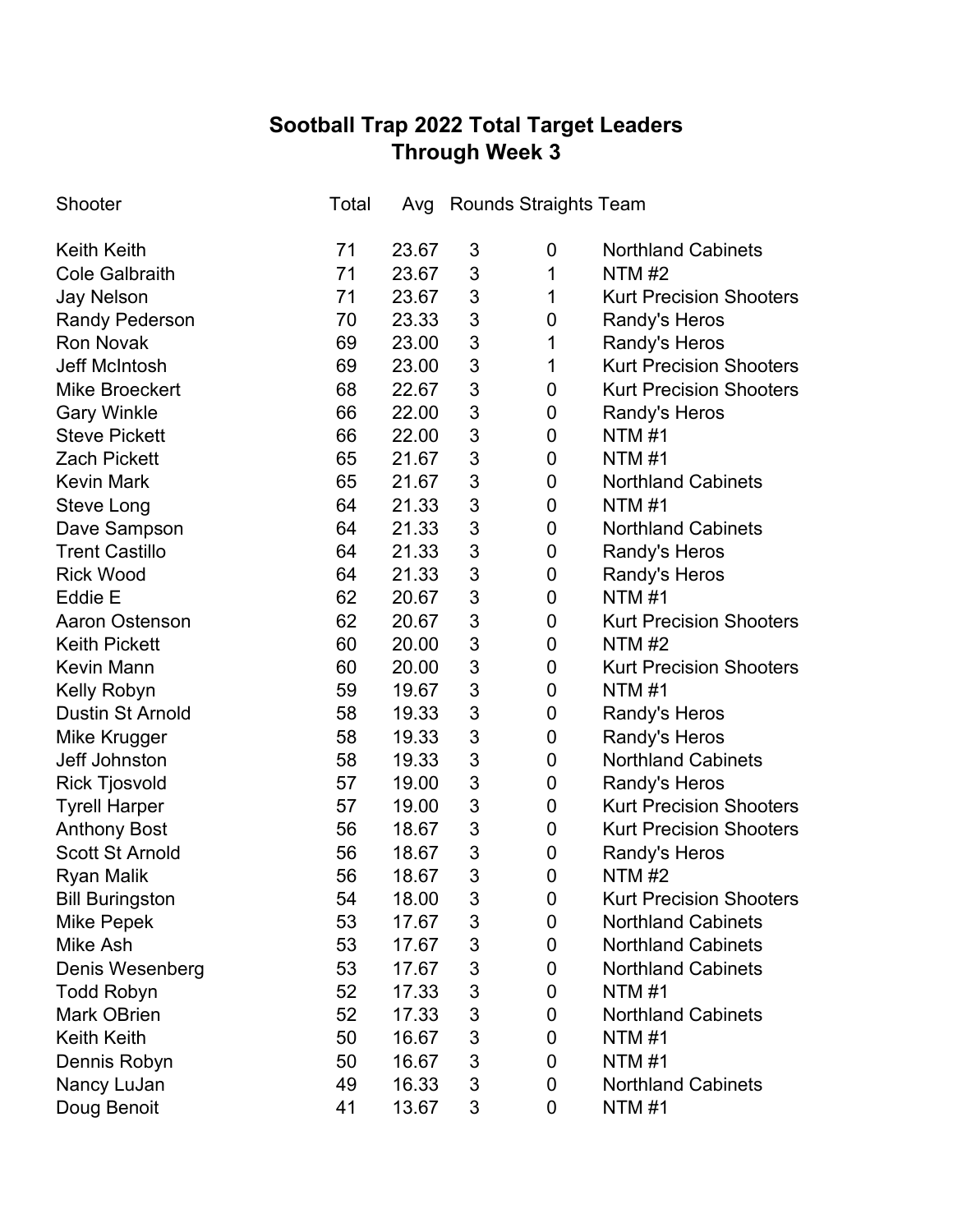# **Sootball Trap 2022 Total Target Leaders Through Week 3**

| Shooter                 | Total | Avg   |                           | <b>Rounds Straights Team</b> |                                |
|-------------------------|-------|-------|---------------------------|------------------------------|--------------------------------|
| <b>Keith Keith</b>      | 71    | 23.67 | 3                         | 0                            | <b>Northland Cabinets</b>      |
| <b>Cole Galbraith</b>   | 71    | 23.67 | 3                         | 1                            | NTM $#2$                       |
| <b>Jay Nelson</b>       | 71    | 23.67 | 3                         | 1                            | <b>Kurt Precision Shooters</b> |
| <b>Randy Pederson</b>   | 70    | 23.33 | 3                         | 0                            | Randy's Heros                  |
| <b>Ron Novak</b>        | 69    | 23.00 | 3                         | 1                            | Randy's Heros                  |
| <b>Jeff McIntosh</b>    | 69    | 23.00 | 3                         | 1                            | <b>Kurt Precision Shooters</b> |
| <b>Mike Broeckert</b>   | 68    | 22.67 | 3                         | 0                            | <b>Kurt Precision Shooters</b> |
| <b>Gary Winkle</b>      | 66    | 22.00 | 3                         | 0                            | Randy's Heros                  |
| <b>Steve Pickett</b>    | 66    | 22.00 | 3                         | 0                            | <b>NTM#1</b>                   |
| <b>Zach Pickett</b>     | 65    | 21.67 | 3                         | 0                            | <b>NTM#1</b>                   |
| <b>Kevin Mark</b>       | 65    | 21.67 | 3                         | 0                            | <b>Northland Cabinets</b>      |
| Steve Long              | 64    | 21.33 | 3                         | 0                            | <b>NTM#1</b>                   |
| Dave Sampson            | 64    | 21.33 | 3                         | 0                            | <b>Northland Cabinets</b>      |
| <b>Trent Castillo</b>   | 64    | 21.33 | 3                         | 0                            | Randy's Heros                  |
| <b>Rick Wood</b>        | 64    | 21.33 | 3                         | 0                            | Randy's Heros                  |
| Eddie E                 | 62    | 20.67 | 3                         | 0                            | <b>NTM#1</b>                   |
| <b>Aaron Ostenson</b>   | 62    | 20.67 | 3                         | 0                            | <b>Kurt Precision Shooters</b> |
| <b>Keith Pickett</b>    | 60    | 20.00 | 3                         | 0                            | <b>NTM#2</b>                   |
| <b>Kevin Mann</b>       | 60    | 20.00 | 3                         | 0                            | <b>Kurt Precision Shooters</b> |
| Kelly Robyn             | 59    | 19.67 | 3                         | 0                            | <b>NTM #1</b>                  |
| <b>Dustin St Arnold</b> | 58    | 19.33 | 3                         | $\pmb{0}$                    | Randy's Heros                  |
| Mike Krugger            | 58    | 19.33 | 3                         | 0                            | Randy's Heros                  |
| Jeff Johnston           | 58    | 19.33 | 3                         | $\mathbf 0$                  | <b>Northland Cabinets</b>      |
| <b>Rick Tjosvold</b>    | 57    | 19.00 | 3                         | $\pmb{0}$                    | Randy's Heros                  |
| <b>Tyrell Harper</b>    | 57    | 19.00 | 3                         | $\pmb{0}$                    | <b>Kurt Precision Shooters</b> |
| <b>Anthony Bost</b>     | 56    | 18.67 | 3                         | $\mathbf 0$                  | <b>Kurt Precision Shooters</b> |
| <b>Scott St Arnold</b>  | 56    | 18.67 | 3                         | $\mathbf 0$                  | Randy's Heros                  |
| Ryan Malik              | 56    | 18.67 | 3                         | 0                            | <b>NTM #2</b>                  |
| <b>Bill Buringston</b>  | 54    | 18.00 | 3                         | 0                            | <b>Kurt Precision Shooters</b> |
| <b>Mike Pepek</b>       | 53    | 17.67 | 3                         | 0                            | <b>Northland Cabinets</b>      |
| Mike Ash                | 53    | 17.67 | 3                         | 0                            | <b>Northland Cabinets</b>      |
| Denis Wesenberg         | 53    | 17.67 | 3                         | 0                            | <b>Northland Cabinets</b>      |
| <b>Todd Robyn</b>       | 52    | 17.33 | $\ensuremath{\mathsf{3}}$ | 0                            | <b>NTM#1</b>                   |
| <b>Mark OBrien</b>      | 52    | 17.33 | 3                         | 0                            | <b>Northland Cabinets</b>      |
| <b>Keith Keith</b>      | 50    | 16.67 | 3                         | 0                            | <b>NTM #1</b>                  |
| Dennis Robyn            | 50    | 16.67 | 3                         | 0                            | <b>NTM #1</b>                  |
| Nancy LuJan             | 49    | 16.33 | 3                         | 0                            | <b>Northland Cabinets</b>      |
| Doug Benoit             | 41    | 13.67 | 3                         | 0                            | <b>NTM #1</b>                  |